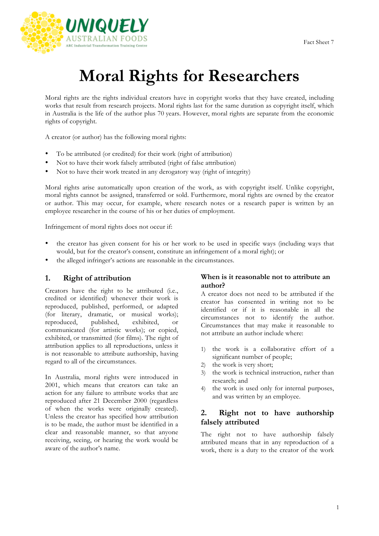

# **Moral Rights for Researchers**

Moral rights are the rights individual creators have in copyright works that they have created, including works that result from research projects. Moral rights last for the same duration as copyright itself, which in Australia is the life of the author plus 70 years. However, moral rights are separate from the economic rights of copyright.

A creator (or author) has the following moral rights:

- To be attributed (or credited) for their work (right of attribution)
- Not to have their work falsely attributed (right of false attribution)
- Not to have their work treated in any derogatory way (right of integrity)

Moral rights arise automatically upon creation of the work, as with copyright itself. Unlike copyright, moral rights cannot be assigned, transferred or sold. Furthermore, moral rights are owned by the creator or author. This may occur, for example, where research notes or a research paper is written by an employee researcher in the course of his or her duties of employment.

Infringement of moral rights does not occur if:

- the creator has given consent for his or her work to be used in specific ways (including ways that would, but for the creator's consent, constitute an infringement of a moral right); or
- the alleged infringer's actions are reasonable in the circumstances.

#### **1. Right of attribution**

Creators have the right to be attributed (i.e., credited or identified) whenever their work is reproduced, published, performed, or adapted (for literary, dramatic, or musical works); reproduced, published, exhibited, or communicated (for artistic works); or copied, exhibited, or transmitted (for films). The right of attribution applies to all reproductions, unless it is not reasonable to attribute authorship, having regard to all of the circumstances.

In Australia, moral rights were introduced in 2001, which means that creators can take an action for any failure to attribute works that are reproduced after 21 December 2000 (regardless of when the works were originally created). Unless the creator has specified how attribution is to be made, the author must be identified in a clear and reasonable manner, so that anyone receiving, seeing, or hearing the work would be aware of the author's name.

#### **When is it reasonable not to attribute an author?**

A creator does not need to be attributed if the creator has consented in writing not to be identified or if it is reasonable in all the circumstances not to identify the author. Circumstances that may make it reasonable to not attribute an author include where:

- 1) the work is a collaborative effort of a significant number of people;
- 2) the work is very short;
- 3) the work is technical instruction, rather than research; and
- 4) the work is used only for internal purposes, and was written by an employee.

### **2. Right not to have authorship falsely attributed**

The right not to have authorship falsely attributed means that in any reproduction of a work, there is a duty to the creator of the work